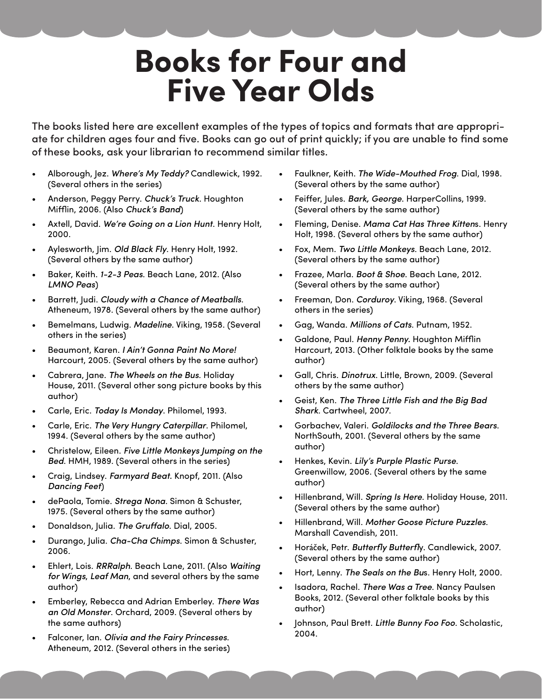## **Books for Four and Five Year Olds**

The books listed here are excellent examples of the types of topics and formats that are appropriate for children ages four and five. Books can go out of print quickly; if you are unable to find some of these books, ask your librarian to recommend similar titles.

- • Alborough, Jez. *Where's My Teddy?* Candlewick, 1992. (Several others in the series)
- Anderson, Peggy Perry. Chuck's Truck. Houghton Mifflin, 2006. (Also *Chuck's Band*)
- Axtell, David. We're Going on a Lion Hunt. Henry Holt, 2000.
- Aylesworth, Jim. *Old Black Fly*. Henry Holt, 1992. (Several others by the same author)
- Baker, Keith. 1-2-3 Peas. Beach Lane, 2012. (Also *LMNO Peas*)
- Barrett, Judi. *Cloudy with a Chance of Meatballs*. Atheneum, 1978. (Several others by the same author)
- Bemelmans, Ludwig. Madeline. Viking, 1958. (Several others in the series)
- Beaumont, Karen. *I Ain't Gonna Paint No More!* Harcourt, 2005. (Several others by the same author)
- Cabrera, Jane. The Wheels on the Bus. Holiday House, 2011. (Several other song picture books by this author)
- Carle, Eric. *Today Is Monday*. Philomel, 1993.
- Carle, Eric. The Very Hungry Caterpillar. Philomel, 1994. (Several others by the same author)
- Christelow, Eileen. Five Little Monkeys Jumping on the *Bed*. HMH, 1989. (Several others in the series)
- Craig, Lindsey. *Farmyard Beat.* Knopf, 2011. (Also *Dancing Feet*)
- dePaola, Tomie. *Strega Nona*. Simon & Schuster, 1975. (Several others by the same author)
- • Donaldson, Julia. *The Gruffalo*. Dial, 2005.
- • Durango, Julia. *Cha-Cha Chimps*. Simon & Schuster, 2006.
- Ehlert, Lois. *RRRalph*. Beach Lane, 2011. (Also *Waiting for Wings*, *Leaf Man*, and several others by the same author)
- • Emberley, Rebecca and Adrian Emberley. *There Was an Old Monster*. Orchard, 2009. (Several others by the same authors)
- Falconer, Ian. Olivia and the Fairy Princesses. Atheneum, 2012. (Several others in the series)
- Faulkner, Keith. The Wide-Mouthed Frog. Dial, 1998. (Several others by the same author)
- Feiffer, Jules. Bark, George. HarperCollins, 1999. (Several others by the same author)
- Fleming, Denise. Mama Cat Has Three Kittens. Henry Holt, 1998. (Several others by the same author)
- Fox, Mem. *Two Little Monkeys*. Beach Lane, 2012. (Several others by the same author)
- Frazee, Marla. *Boot & Shoe*. Beach Lane, 2012. (Several others by the same author)
- Freeman, Don. Corduroy. Viking, 1968. (Several others in the series)
- • Gag, Wanda. *Millions of Cats*. Putnam, 1952.
- Galdone, Paul. Henny Penny. Houghton Mifflin Harcourt, 2013. (Other folktale books by the same author)
- Gall, Chris. *Dinotrux*. Little, Brown, 2009. (Several others by the same author)
- Geist, Ken. The Three Little Fish and the Big Bad *Shark*. Cartwheel, 2007.
- Gorbachev, Valeri. *Goldilocks and the Three Bears.* NorthSouth, 2001. (Several others by the same author)
- Henkes, Kevin. Lily's Purple Plastic Purse. Greenwillow, 2006. (Several others by the same author)
- Hillenbrand, Will. *Spring Is Here*. Holiday House, 2011. (Several others by the same author)
- • Hillenbrand, Will. *Mother Goose Picture Puzzles*. Marshall Cavendish, 2011.
- • Horáček, Petr. *Butterfly Butterfl*y. Candlewick, 2007. (Several others by the same author)
- Hort, Lenny. The Seals on the Bus. Henry Holt, 2000.
- Isadora, Rachel. There Was a Tree. Nancy Paulsen Books, 2012. (Several other folktale books by this author)
- Johnson, Paul Brett. Little Bunny Foo Foo. Scholastic, 2004.